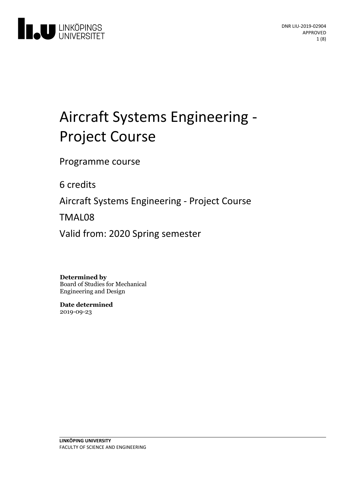

# Aircraft Systems Engineering -<br>Project Course

Programme course

6 credits

Aircraft Systems Engineering - Project Course

TMAL08

Valid from: 2020 Spring semester

**Determined by**

Board of Studies for Mechanical Engineering and Design

**Date determined** 2019-09-23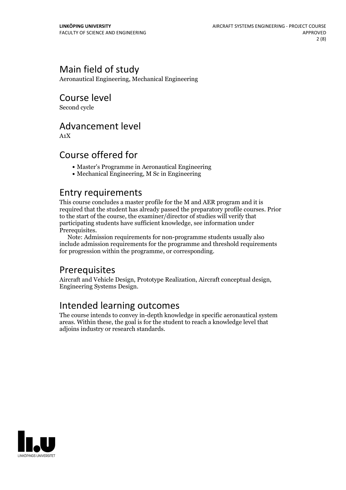# Main field of study

Aeronautical Engineering, Mechanical Engineering

# Course level

Second cycle

## Advancement level

A1X

## Course offered for

- Master's Programme in Aeronautical Engineering
- Mechanical Engineering, M Sc in Engineering

## Entry requirements

This course concludes a master profile for the M and AER program and it is required that the student has already passed the preparatory profile courses. Prior to the start of the course, the examiner/director of studies will verify that participating students have sufficient knowledge, see information under

Prerequisites.<br> Note: Admission requirements for non-programme students usually also include admission requirements for the programme and threshold requirements for progression within the programme, or corresponding.

# **Prerequisites**

Aircraft and Vehicle Design, Prototype Realization, Aircraft conceptual design, Engineering Systems Design.

## Intended learning outcomes

The course intends to convey in-depth knowledge in specific aeronautical system areas. Within these, the goal is for the student to reach a knowledge level that adjoins industry or research standards.

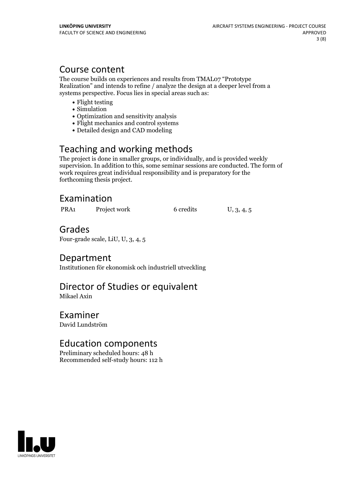## Course content

The course builds on experiences and results from TMAL07 "Prototype Realization" and intends to refine / analyze the design at a deeper level from a systems perspective. Focus lies in special areas such as:

- Flight testing
- Simulation
- Optimization and sensitivity analysis
- Flight mechanics and control systems
- Detailed design and CAD modeling

# Teaching and working methods

The project is done in smaller groups, or individually, and is provided weekly supervision. In addition to this, some seminar sessions are conducted. The form of work requires great individual responsibility and is preparatory for the forthcoming thesis project.

# Examination

| PRA <sub>1</sub> | Project work | 6 credits | U, 3, 4, 5 |  |
|------------------|--------------|-----------|------------|--|
|------------------|--------------|-----------|------------|--|

## Grades

Four-grade scale, LiU, U, 3, 4, 5

## Department

Institutionen för ekonomisk och industriell utveckling

# Director of Studies or equivalent

Mikael Axin

# Examiner

David Lundström

## Education components

Preliminary scheduled hours: 48 h Recommended self-study hours: 112 h

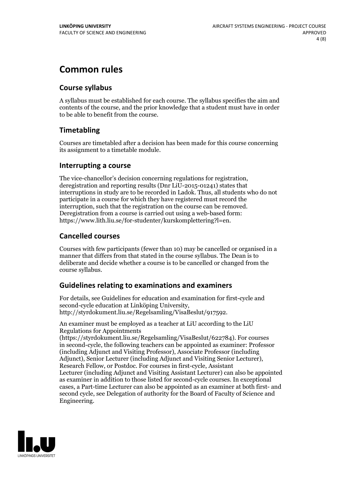# **Common rules**

## **Course syllabus**

A syllabus must be established for each course. The syllabus specifies the aim and contents of the course, and the prior knowledge that a student must have in order to be able to benefit from the course.

## **Timetabling**

Courses are timetabled after a decision has been made for this course concerning its assignment to a timetable module.

## **Interrupting a course**

The vice-chancellor's decision concerning regulations for registration, deregistration and reporting results (Dnr LiU-2015-01241) states that interruptions in study are to be recorded in Ladok. Thus, all students who do not participate in a course for which they have registered must record the interruption, such that the registration on the course can be removed. Deregistration from <sup>a</sup> course is carried outusing <sup>a</sup> web-based form: https://www.lith.liu.se/for-studenter/kurskomplettering?l=en.

## **Cancelled courses**

Courses with few participants (fewer than 10) may be cancelled or organised in a manner that differs from that stated in the course syllabus. The Dean is to deliberate and decide whether a course is to be cancelled or changed from the course syllabus.

## **Guidelines relatingto examinations and examiners**

For details, see Guidelines for education and examination for first-cycle and second-cycle education at Linköping University, http://styrdokument.liu.se/Regelsamling/VisaBeslut/917592.

An examiner must be employed as a teacher at LiU according to the LiU Regulations for Appointments

(https://styrdokument.liu.se/Regelsamling/VisaBeslut/622784). For courses in second-cycle, the following teachers can be appointed as examiner: Professor (including Adjunct and Visiting Professor), Associate Professor (including Adjunct), Senior Lecturer (including Adjunct and Visiting Senior Lecturer), Research Fellow, or Postdoc. For courses in first-cycle, Assistant Lecturer (including Adjunct and Visiting Assistant Lecturer) can also be appointed as examiner in addition to those listed for second-cycle courses. In exceptional cases, a Part-time Lecturer can also be appointed as an examiner at both first- and second cycle, see Delegation of authority for the Board of Faculty of Science and Engineering.

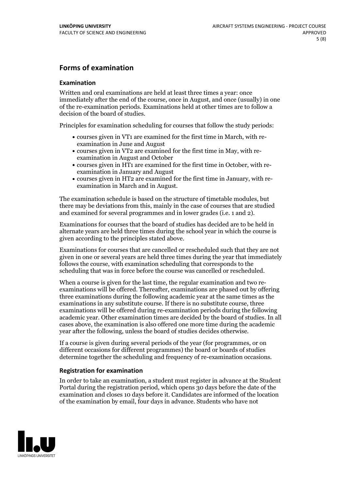## **Forms of examination**

#### **Examination**

Written and oral examinations are held at least three times a year: once immediately after the end of the course, once in August, and once (usually) in one of the re-examination periods. Examinations held at other times are to follow a decision of the board of studies.

Principles for examination scheduling for courses that follow the study periods:

- courses given in VT1 are examined for the first time in March, with re-examination in June and August
- courses given in VT2 are examined for the first time in May, with re-examination in August and October
- courses given in HT1 are examined for the first time in October, with re-examination in January and August
- courses given in HT2 are examined for the first time in January, with re-examination in March and in August.

The examination schedule is based on the structure of timetable modules, but there may be deviations from this, mainly in the case of courses that are studied and examined for several programmes and in lower grades (i.e. 1 and 2).

Examinations for courses that the board of studies has decided are to be held in alternate years are held three times during the school year in which the course is given according to the principles stated above.

Examinations for courses that are cancelled orrescheduled such that they are not given in one or several years are held three times during the year that immediately follows the course, with examination scheduling that corresponds to the scheduling that was in force before the course was cancelled or rescheduled.

When a course is given for the last time, the regular examination and two re-<br>examinations will be offered. Thereafter, examinations are phased out by offering three examinations during the following academic year at the same times as the examinations in any substitute course. If there is no substitute course, three examinations will be offered during re-examination periods during the following academic year. Other examination times are decided by the board of studies. In all cases above, the examination is also offered one more time during the academic year after the following, unless the board of studies decides otherwise.

If a course is given during several periods of the year (for programmes, or on different occasions for different programmes) the board or boards of studies determine together the scheduling and frequency of re-examination occasions.

#### **Registration for examination**

In order to take an examination, a student must register in advance at the Student Portal during the registration period, which opens 30 days before the date of the examination and closes 10 days before it. Candidates are informed of the location of the examination by email, four days in advance. Students who have not

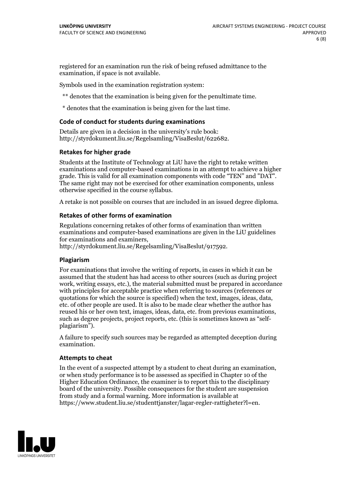registered for an examination run the risk of being refused admittance to the examination, if space is not available.

Symbols used in the examination registration system:

\*\* denotes that the examination is being given for the penultimate time.

\* denotes that the examination is being given for the last time.

#### **Code of conduct for students during examinations**

Details are given in a decision in the university's rule book: http://styrdokument.liu.se/Regelsamling/VisaBeslut/622682.

#### **Retakes for higher grade**

Students at the Institute of Technology at LiU have the right to retake written examinations and computer-based examinations in an attempt to achieve a higher grade. This is valid for all examination components with code "TEN" and "DAT". The same right may not be exercised for other examination components, unless otherwise specified in the course syllabus.

A retake is not possible on courses that are included in an issued degree diploma.

#### **Retakes of other forms of examination**

Regulations concerning retakes of other forms of examination than written examinations and computer-based examinations are given in the LiU guidelines

http://styrdokument.liu.se/Regelsamling/VisaBeslut/917592.

#### **Plagiarism**

For examinations that involve the writing of reports, in cases in which it can be assumed that the student has had access to other sources (such as during project work, writing essays, etc.), the material submitted must be prepared in accordance with principles for acceptable practice when referring to sources (references or quotations for which the source is specified) when the text, images, ideas, data,  $\vec{e}$  etc. of other people are used. It is also to be made clear whether the author has reused his or her own text, images, ideas, data, etc. from previous examinations, such as degree projects, project reports, etc. (this is sometimes known as "self- plagiarism").

A failure to specify such sources may be regarded as attempted deception during examination.

#### **Attempts to cheat**

In the event of <sup>a</sup> suspected attempt by <sup>a</sup> student to cheat during an examination, or when study performance is to be assessed as specified in Chapter <sup>10</sup> of the Higher Education Ordinance, the examiner is to report this to the disciplinary board of the university. Possible consequences for the student are suspension from study and a formal warning. More information is available at https://www.student.liu.se/studenttjanster/lagar-regler-rattigheter?l=en.

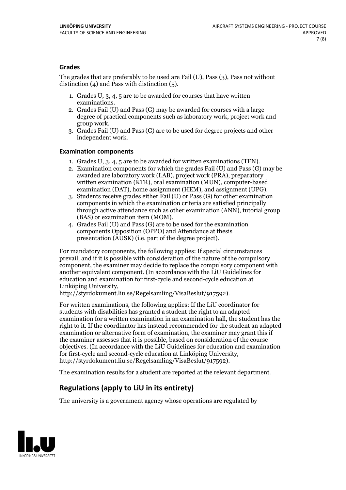## **Grades**

The grades that are preferably to be used are Fail (U), Pass (3), Pass not without distinction  $(4)$  and Pass with distinction  $(5)$ .

- 1. Grades U, 3, 4, 5 are to be awarded for courses that have written
- examinations. 2. Grades Fail (U) and Pass (G) may be awarded for courses with <sup>a</sup> large degree of practical components such as laboratory work, project work and group work. 3. Grades Fail (U) and Pass (G) are to be used for degree projects and other
- independent work.

### **Examination components**

- 
- 1. Grades U, 3, 4, <sup>5</sup> are to be awarded for written examinations (TEN). 2. Examination components for which the grades Fail (U) and Pass (G) may be awarded are laboratory work (LAB), project work (PRA), preparatory written examination (KTR), oral examination (MUN), computer-based
- examination (DAT), home assignment (HEM), and assignment (UPG). 3. Students receive grades either Fail (U) or Pass (G) for other examination components in which the examination criteria are satisfied principally through active attendance such as other examination (ANN), tutorial group (BAS) or examination item (MOM). 4. Grades Fail (U) and Pass (G) are to be used for the examination
- components Opposition (OPPO) and Attendance at thesis presentation (AUSK) (i.e. part of the degree project).

For mandatory components, the following applies: If special circumstances prevail, and if it is possible with consideration of the nature of the compulsory component, the examiner may decide to replace the compulsory component with another equivalent component. (In accordance with the LiU Guidelines for education and examination for first-cycle and second-cycle education at Linköping University, http://styrdokument.liu.se/Regelsamling/VisaBeslut/917592).

For written examinations, the following applies: If the LiU coordinator for students with disabilities has granted a student the right to an adapted examination for a written examination in an examination hall, the student has the right to it. If the coordinator has instead recommended for the student an adapted examination or alternative form of examination, the examiner may grant this if the examiner assesses that it is possible, based on consideration of the course objectives. (In accordance with the LiU Guidelines for education and examination for first-cycle and second-cycle education at Linköping University, http://styrdokument.liu.se/Regelsamling/VisaBeslut/917592).

The examination results for a student are reported at the relevant department.

## **Regulations (applyto LiU in its entirety)**

The university is a government agency whose operations are regulated by